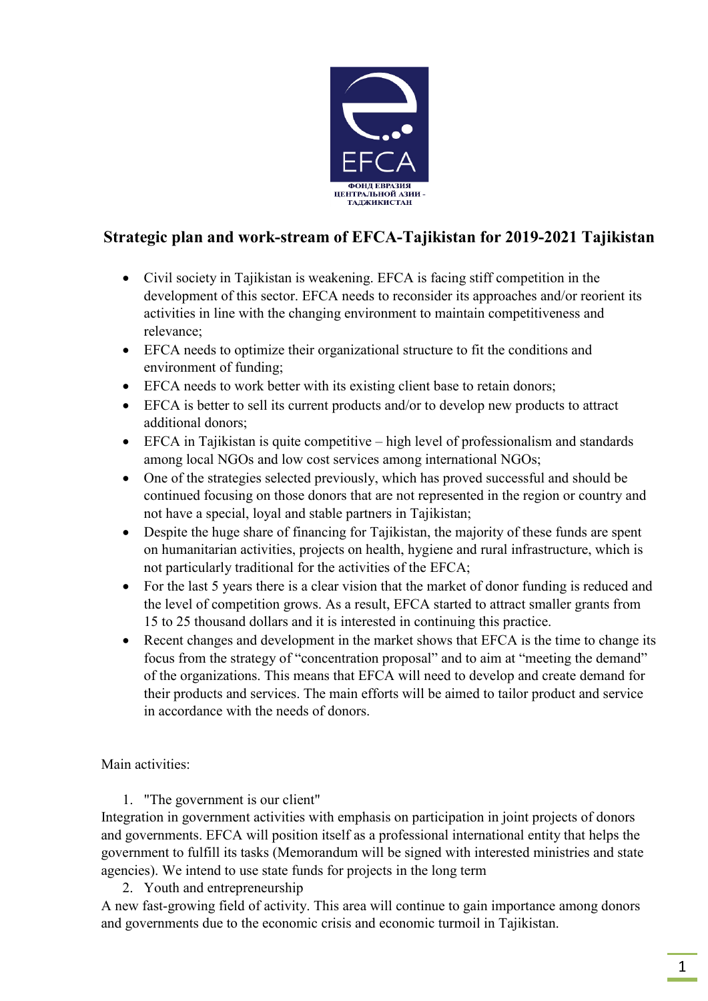

## **Strategic plan and work-stream of EFCA-Tajikistan for 2019-2021 Tajikistan**

- Civil society in Tajikistan is weakening. EFCA is facing stiff competition in the development of this sector. EFCA needs to reconsider its approaches and/or reorient its activities in line with the changing environment to maintain competitiveness and relevance;
- EFCA needs to optimize their organizational structure to fit the conditions and environment of funding;
- EFCA needs to work better with its existing client base to retain donors;
- EFCA is better to sell its current products and/or to develop new products to attract additional donors;
- EFCA in Tajikistan is quite competitive high level of professionalism and standards among local NGOs and low cost services among international NGOs;
- One of the strategies selected previously, which has proved successful and should be continued focusing on those donors that are not represented in the region or country and not have a special, loyal and stable partners in Tajikistan;
- Despite the huge share of financing for Tajikistan, the majority of these funds are spent on humanitarian activities, projects on health, hygiene and rural infrastructure, which is not particularly traditional for the activities of the EFCA;
- For the last 5 years there is a clear vision that the market of donor funding is reduced and the level of competition grows. As a result, EFCA started to attract smaller grants from 15 to 25 thousand dollars and it is interested in continuing this practice.
- Recent changes and development in the market shows that EFCA is the time to change its focus from the strategy of "concentration proposal" and to aim at "meeting the demand" of the organizations. This means that EFCA will need to develop and create demand for their products and services. The main efforts will be aimed to tailor product and service in accordance with the needs of donors.

Main activities:

1. "The government is our client"

Integration in government activities with emphasis on participation in joint projects of donors and governments. EFCA will position itself as a professional international entity that helps the government to fulfill its tasks (Memorandum will be signed with interested ministries and state agencies). We intend to use state funds for projects in the long term

2. Youth and entrepreneurship

A new fast-growing field of activity. This area will continue to gain importance among donors and governments due to the economic crisis and economic turmoil in Tajikistan.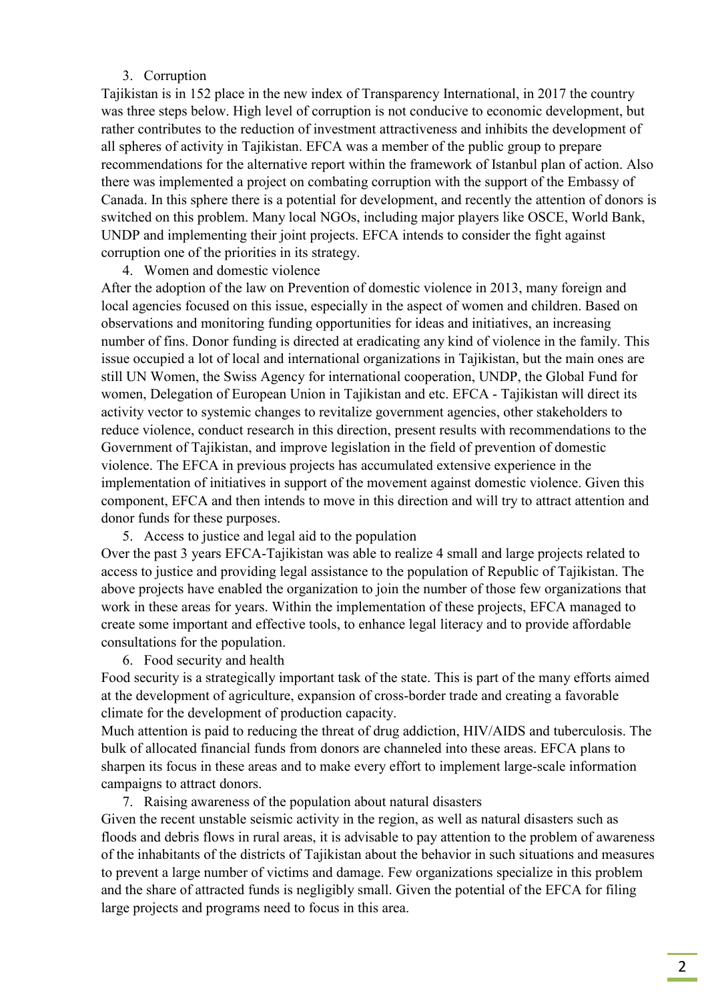## 3. Corruption

Tajikistan is in 152 place in the new index of Transparency International, in 2017 the country was three steps below. High level of corruption is not conducive to economic development, but rather contributes to the reduction of investment attractiveness and inhibits the development of all spheres of activity in Tajikistan. EFCA was a member of the public group to prepare recommendations for the alternative report within the framework of Istanbul plan of action. Also there was implemented a project on combating corruption with the support of the Embassy of Canada. In this sphere there is a potential for development, and recently the attention of donors is switched on this problem. Many local NGOs, including major players like OSCE, World Bank, UNDP and implementing their joint projects. EFCA intends to consider the fight against corruption one of the priorities in its strategy.

4. Women and domestic violence

After the adoption of the law on Prevention of domestic violence in 2013, many foreign and local agencies focused on this issue, especially in the aspect of women and children. Based on observations and monitoring funding opportunities for ideas and initiatives, an increasing number of fins. Donor funding is directed at eradicating any kind of violence in the family. This issue occupied a lot of local and international organizations in Tajikistan, but the main ones are still UN Women, the Swiss Agency for international cooperation, UNDP, the Global Fund for women, Delegation of European Union in Tajikistan and etc. EFCA - Tajikistan will direct its activity vector to systemic changes to revitalize government agencies, other stakeholders to reduce violence, conduct research in this direction, present results with recommendations to the Government of Tajikistan, and improve legislation in the field of prevention of domestic violence. The EFCA in previous projects has accumulated extensive experience in the implementation of initiatives in support of the movement against domestic violence. Given this component, EFCA and then intends to move in this direction and will try to attract attention and donor funds for these purposes.

5. Access to justice and legal aid to the population

Over the past 3 years EFCA-Tajikistan was able to realize 4 small and large projects related to access to justice and providing legal assistance to the population of Republic of Tajikistan. The above projects have enabled the organization to join the number of those few organizations that work in these areas for years. Within the implementation of these projects, EFCA managed to create some important and effective tools, to enhance legal literacy and to provide affordable consultations for the population.

6. Food security and health

Food security is a strategically important task of the state. This is part of the many efforts aimed at the development of agriculture, expansion of cross-border trade and creating a favorable climate for the development of production capacity.

Much attention is paid to reducing the threat of drug addiction, HIV/AIDS and tuberculosis. The bulk of allocated financial funds from donors are channeled into these areas. EFCA plans to sharpen its focus in these areas and to make every effort to implement large-scale information campaigns to attract donors.

## 7. Raising awareness of the population about natural disasters

Given the recent unstable seismic activity in the region, as well as natural disasters such as floods and debris flows in rural areas, it is advisable to pay attention to the problem of awareness of the inhabitants of the districts of Tajikistan about the behavior in such situations and measures to prevent a large number of victims and damage. Few organizations specialize in this problem and the share of attracted funds is negligibly small. Given the potential of the EFCA for filing large projects and programs need to focus in this area.